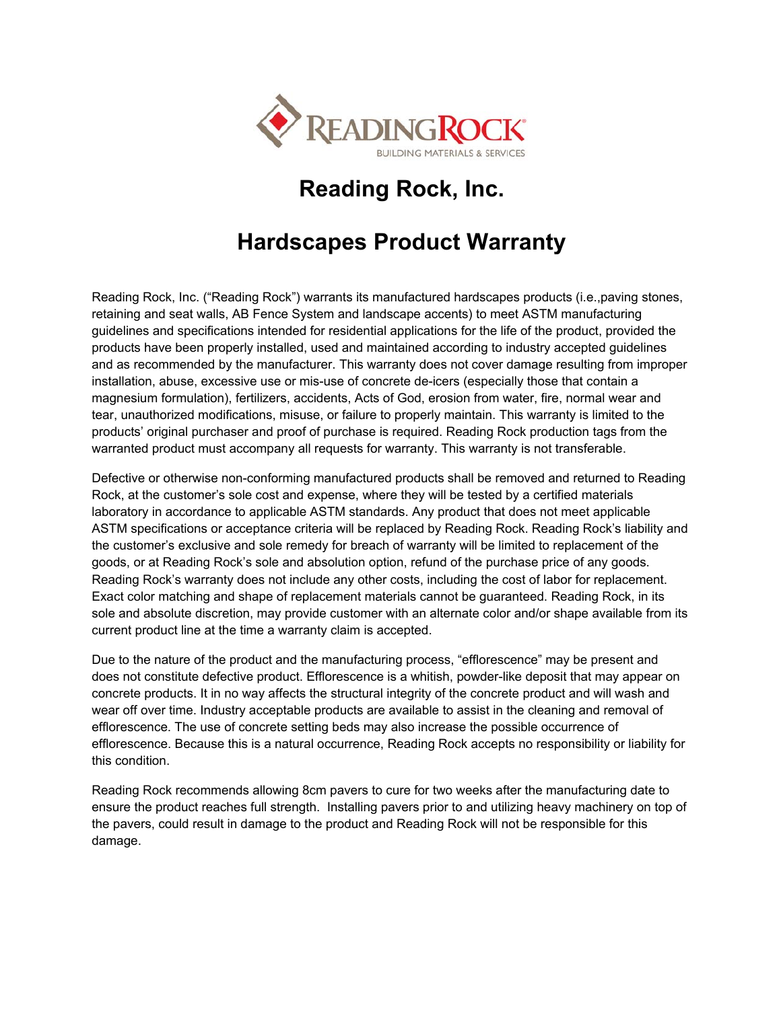

## **Reading Rock, Inc.**

## **Hardscapes Product Warranty**

Reading Rock, Inc. ("Reading Rock") warrants its manufactured hardscapes products (i.e.,paving stones, retaining and seat walls, AB Fence System and landscape accents) to meet ASTM manufacturing guidelines and specifications intended for residential applications for the life of the product, provided the products have been properly installed, used and maintained according to industry accepted guidelines and as recommended by the manufacturer. This warranty does not cover damage resulting from improper installation, abuse, excessive use or mis-use of concrete de-icers (especially those that contain a magnesium formulation), fertilizers, accidents, Acts of God, erosion from water, fire, normal wear and tear, unauthorized modifications, misuse, or failure to properly maintain. This warranty is limited to the products' original purchaser and proof of purchase is required. Reading Rock production tags from the warranted product must accompany all requests for warranty. This warranty is not transferable.

Defective or otherwise non-conforming manufactured products shall be removed and returned to Reading Rock, at the customer's sole cost and expense, where they will be tested by a certified materials laboratory in accordance to applicable ASTM standards. Any product that does not meet applicable ASTM specifications or acceptance criteria will be replaced by Reading Rock. Reading Rock's liability and the customer's exclusive and sole remedy for breach of warranty will be limited to replacement of the goods, or at Reading Rock's sole and absolution option, refund of the purchase price of any goods. Reading Rock's warranty does not include any other costs, including the cost of labor for replacement. Exact color matching and shape of replacement materials cannot be guaranteed. Reading Rock, in its sole and absolute discretion, may provide customer with an alternate color and/or shape available from its current product line at the time a warranty claim is accepted.

Due to the nature of the product and the manufacturing process, "efflorescence" may be present and does not constitute defective product. Efflorescence is a whitish, powder-like deposit that may appear on concrete products. It in no way affects the structural integrity of the concrete product and will wash and wear off over time. Industry acceptable products are available to assist in the cleaning and removal of efflorescence. The use of concrete setting beds may also increase the possible occurrence of efflorescence. Because this is a natural occurrence, Reading Rock accepts no responsibility or liability for this condition.

Reading Rock recommends allowing 8cm pavers to cure for two weeks after the manufacturing date to ensure the product reaches full strength. Installing pavers prior to and utilizing heavy machinery on top of the pavers, could result in damage to the product and Reading Rock will not be responsible for this damage.